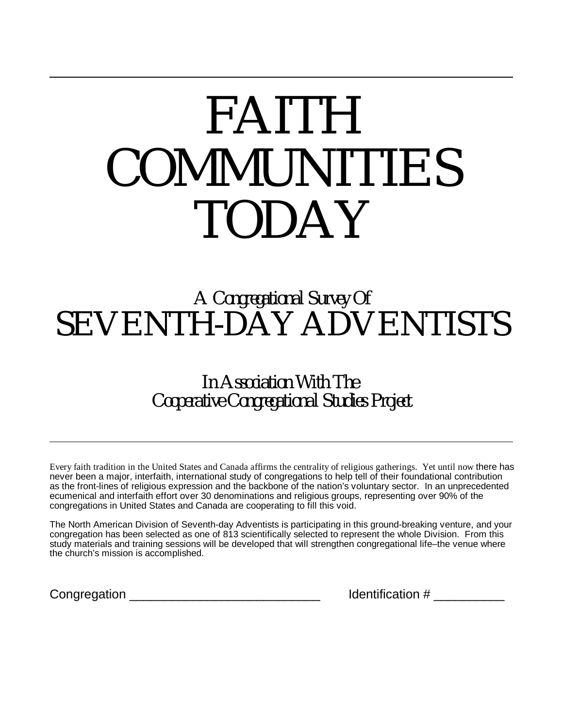# *FAITH COMMUNITIES TODAY*

# *A Congregational Survey Of SEVENTH-DAY ADVENTISTS*

*In Association With The Cooperative Congregational Studies Project*

Every faith tradition in the United States and Canada affirms the centrality of religious gatherings. Yet until now there has never been a major, interfaith, international study of congregations to help tell of their foundational contribution as the front-lines of religious expression and the backbone of the nation's voluntary sector. In an unprecedented ecumenical and interfaith effort over 30 denominations and religious groups, representing over 90% of the congregations in United States and Canada are cooperating to fill this void.

The North American Division of Seventh-day Adventists is participating in this ground-breaking venture, and your congregation has been selected as one of 813 scientifically selected to represent the whole Division. From this study materials and training sessions will be developed that will strengthen congregational life–the venue where the church's mission is accomplished.

Congregation **Congregation Congregation Example 2 Example 2 Identification #**  $\blacksquare$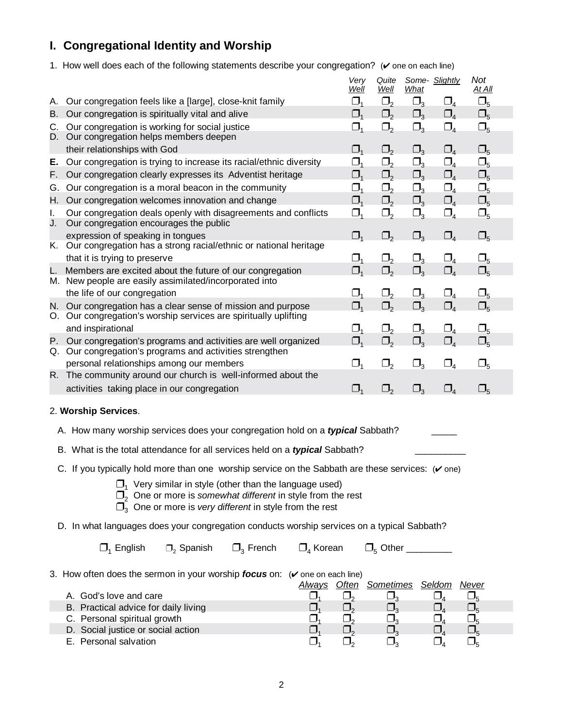## **I. Congregational Identity and Worship**

1. How well does each of the following statements describe your congregation?  $($   $\checkmark$  one on each line)

|          |                                                                                                                                                                                                                                                                                                                                          | Very<br>Well                   | Quite<br>Well         | Some- Slightly<br>What |                                   | Not<br><u>At All</u> |  |
|----------|------------------------------------------------------------------------------------------------------------------------------------------------------------------------------------------------------------------------------------------------------------------------------------------------------------------------------------------|--------------------------------|-----------------------|------------------------|-----------------------------------|----------------------|--|
| А.       | Our congregation feels like a [large], close-knit family                                                                                                                                                                                                                                                                                 | $\Box_1$                       | $\Box_2$              | $\Box_3$               | $\square_{4}$                     | $\Box_5$             |  |
| В.       | Our congregation is spiritually vital and alive                                                                                                                                                                                                                                                                                          | $\Box_{1}$                     | $\square$ ,           | $\Box_3$               | $\square_{4}$                     | $\square_{5}$        |  |
| C.<br>D. | Our congregation is working for social justice<br>Our congregation helps members deepen                                                                                                                                                                                                                                                  | $\Box_{\scriptscriptstyle{1}}$ | $\Box_2$              | $\Box_3$               | $\Box_{4}$                        | $\Box_5$             |  |
|          | their relationships with God                                                                                                                                                                                                                                                                                                             | $\Box_{1}$                     | $\Box_2$              | $\Box_3$               | $\square_{4}$                     | $\square_{5}$        |  |
| Е.       | Our congregation is trying to increase its racial/ethnic diversity                                                                                                                                                                                                                                                                       | $\Box_{1}$                     | $\Box$                | $\Box_3$               | $\square_{4}$                     | $\Box_5$             |  |
| F.       | Our congregation clearly expresses its Adventist heritage                                                                                                                                                                                                                                                                                | $\Box$ <sub>1</sub>            | $\square$ ,           | $\Box_3$               | $\square_{4}$                     | $\square_{5}$        |  |
| G.       | Our congregation is a moral beacon in the community                                                                                                                                                                                                                                                                                      | $\Box_{1}$                     | $\Box$                | $\Box_3$               | $\Box_4$                          | $\Box_5$             |  |
| H. .     | Our congregation welcomes innovation and change                                                                                                                                                                                                                                                                                          | $\Box_1$                       | $\Box_2$              | $\Box_3$               | $\Box_4$                          | $\Box_5$             |  |
| I.<br>J. | Our congregation deals openly with disagreements and conflicts<br>Our congregation encourages the public                                                                                                                                                                                                                                 | $\Box_{1}$                     | $\Box_2$              | $\Box_3$               | $\square_{4}$                     | $\square_{5}$        |  |
| K.       | expression of speaking in tongues<br>Our congregation has a strong racial/ethnic or national heritage                                                                                                                                                                                                                                    | $\Box_{1}$                     | $\Box_2$              | $\square_3$            | $\square_{4}$                     | $\square_{5}$        |  |
|          | that it is trying to preserve                                                                                                                                                                                                                                                                                                            | $\Box_1$                       | $\Box_2$              | $\Box_3$               | $\Box_{4}$                        | $\Box_5$             |  |
| L.       | Members are excited about the future of our congregation<br>M. New people are easily assimilated/incorporated into                                                                                                                                                                                                                       | $\Box_{1}$                     | $\Box$                | $\square_{3}$          | $\square_{4}$                     | $\square_{5}$        |  |
|          | the life of our congregation                                                                                                                                                                                                                                                                                                             | $\Box_1$                       | $\Box_2$              | $\Box_3$               | $\square_{4}$                     | $\Box_5$             |  |
|          | N. Our congregation has a clear sense of mission and purpose<br>O. Our congregation's worship services are spiritually uplifting                                                                                                                                                                                                         | $\Box_1$                       | $\Box_2$              | $\Box_3$               | $\Box_{4}$                        | $\square_{5}$        |  |
|          | and inspirational                                                                                                                                                                                                                                                                                                                        | $\Box_{1}$                     | $\Box_{2}$            | $\Box_3$               | $\square_{4}$                     | $\Box_5$             |  |
| Р.<br>Q. | Our congregation's programs and activities are well organized<br>Our congregation's programs and activities strengthen                                                                                                                                                                                                                   | $\Box_{1}$                     | $\Box_{2}$            | $\Box_3$               | $\square_{\scriptscriptstyle{A}}$ | $\square_{5}$        |  |
|          | personal relationships among our members                                                                                                                                                                                                                                                                                                 | $\Box_1$                       | $\Box_2$              | $\Box_3$               | $\Box_{4}$                        | $\square_{5}$        |  |
| R.       | The community around our church is well-informed about the                                                                                                                                                                                                                                                                               |                                |                       |                        |                                   |                      |  |
|          | activities taking place in our congregation                                                                                                                                                                                                                                                                                              | $\Box_{1}$                     | $\Box$                | $\Box_3$               | $\Box_{4}$                        | $\square_{5}$        |  |
|          | 2. Worship Services.                                                                                                                                                                                                                                                                                                                     |                                |                       |                        |                                   |                      |  |
|          | A. How many worship services does your congregation hold on a typical Sabbath?                                                                                                                                                                                                                                                           |                                |                       |                        |                                   |                      |  |
|          | B. What is the total attendance for all services held on a typical Sabbath?                                                                                                                                                                                                                                                              |                                |                       |                        |                                   |                      |  |
|          | C. If you typically hold more than one worship service on the Sabbath are these services: $(v \text{ one})$<br>$\Box$ <sub>1</sub> Very similar in style (other than the language used)<br>$\Box$ , One or more is somewhat different in style from the rest<br>$\Box$ <sub>3</sub> One or more is very different in style from the rest |                                |                       |                        |                                   |                      |  |
|          | D. In what languages does your congregation conducts worship services on a typical Sabbath?                                                                                                                                                                                                                                              |                                |                       |                        |                                   |                      |  |
|          | $\square$ <sub>3</sub> French<br>$\square$ <sub>4</sub> Korean<br>$\Box$ <sub>1</sub> English<br>$\Box_2$ Spanish                                                                                                                                                                                                                        |                                |                       |                        |                                   |                      |  |
|          | 3. How often does the sermon in your worship focus on: $(v)$ one on each line)                                                                                                                                                                                                                                                           | <b>Always Often Sometimes</b>  |                       |                        | <b>Seldom</b>                     | <u>Never</u>         |  |
|          | A. God's love and care                                                                                                                                                                                                                                                                                                                   | $\square$ ,                    | $\square_{3}$         |                        | $\square_{4}$                     | $\Box_5$             |  |
|          | B. Practical advice for daily living                                                                                                                                                                                                                                                                                                     | $\square$                      | $\Box_3$              |                        | $\Box_{4}$                        | $\Box_5$             |  |
|          | $\Box_{\scriptscriptstyle{1}}$<br>C. Personal spiritual growth                                                                                                                                                                                                                                                                           | $\Box_{2}$                     |                       |                        | $\underline{\Box}_4$              | $\underline{\Box}_5$ |  |
|          | D. Social justice or social action                                                                                                                                                                                                                                                                                                       |                                | $\overline{\Box}^3_3$ |                        | $\Box_{\scriptscriptstyle 4}$     | $\Box_5$             |  |
|          | E. Personal salvation<br>$\Box_{\scriptscriptstyle{1}}$                                                                                                                                                                                                                                                                                  | $\Box_{2}$                     | $\Box_{3}$            |                        | $\Box_{\scriptscriptstyle 4}$     | $\Box_5$             |  |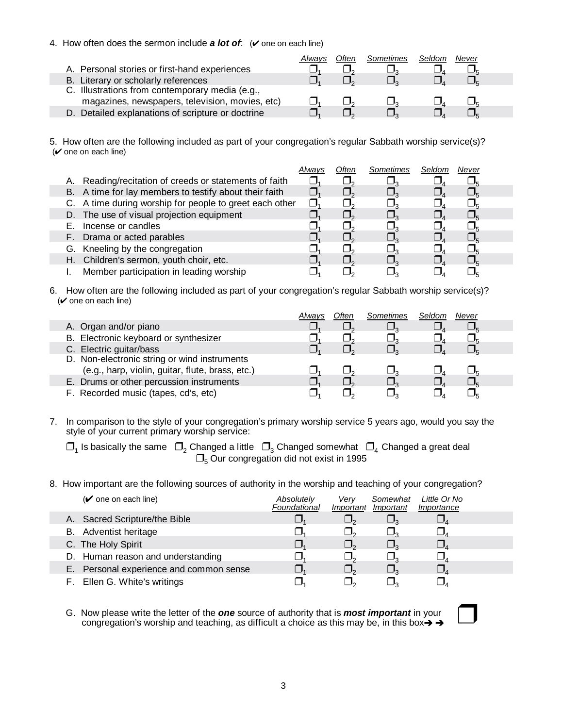#### 4. How often does the sermon include  $a$  lot of:  $(v)$  one on each line)

|                                                   | Always | Often | Sometimes | Seldom | Never |  |
|---------------------------------------------------|--------|-------|-----------|--------|-------|--|
| A. Personal stories or first-hand experiences     |        |       |           |        |       |  |
| B. Literary or scholarly references               |        |       |           |        |       |  |
| C. Illustrations from contemporary media (e.g.,   |        |       |           |        |       |  |
| magazines, newspapers, television, movies, etc)   |        |       |           |        |       |  |
| D. Detailed explanations of scripture or doctrine |        |       |           |        |       |  |

5. How often are the following included as part of your congregation's regular Sabbath worship service(s)?  $(v$  one on each line)

|                                                         | Alwavs | Often | Sometimes | Seldom | Never |  |
|---------------------------------------------------------|--------|-------|-----------|--------|-------|--|
| A. Reading/recitation of creeds or statements of faith  |        |       |           |        |       |  |
| B. A time for lay members to testify about their faith  |        |       |           |        |       |  |
| C. A time during worship for people to greet each other | II.    |       |           |        |       |  |
| D. The use of visual projection equipment               |        |       |           |        |       |  |
| Incense or candles                                      |        |       |           |        |       |  |
| F. Drama or acted parables                              |        |       |           |        |       |  |
| G. Kneeling by the congregation                         |        |       |           |        |       |  |
| H. Children's sermon, youth choir, etc.                 |        |       |           |        |       |  |
| Member participation in leading worship                 |        |       |           |        |       |  |

6. How often are the following included as part of your congregation's regular Sabbath worship service(s)?  $(v$  one on each line)

|                                                  | Alwavs | Often | Sometimes | Seldom | Never |
|--------------------------------------------------|--------|-------|-----------|--------|-------|
| A. Organ and/or piano                            |        |       |           |        |       |
| B. Electronic keyboard or synthesizer            |        |       |           |        |       |
| C. Electric guitar/bass                          |        |       |           |        |       |
| D. Non-electronic string or wind instruments     |        |       |           |        |       |
| (e.g., harp, violin, guitar, flute, brass, etc.) |        |       |           |        |       |
| E. Drums or other percussion instruments         |        |       |           |        |       |
| F. Recorded music (tapes, cd's, etc)             |        |       |           |        |       |

7. In comparison to the style of your congregation's primary worship service 5 years ago, would you say the style of your current primary worship service:

 $\Box_1$  Is basically the same  $\Box_2$  Changed a little  $\Box_3$  Changed somewhat  $\Box_4$  Changed a great deal  $\Box$ <sub>5</sub> Our congregation did not exist in 1995

8. How important are the following sources of authority in the worship and teaching of your congregation?

| $(\vee)$ one on each line)              | Absolutely<br>Foundational | Verv<br>Important | Somewhat<br>Important | Little Or No<br>Importance |  |
|-----------------------------------------|----------------------------|-------------------|-----------------------|----------------------------|--|
| A. Sacred Scripture/the Bible           |                            |                   |                       |                            |  |
| B. Adventist heritage                   |                            |                   |                       |                            |  |
| C. The Holy Spirit                      |                            |                   |                       |                            |  |
| D. Human reason and understanding       |                            |                   |                       |                            |  |
| E. Personal experience and common sense |                            |                   |                       |                            |  |
| F. Ellen G. White's writings            |                            |                   |                       |                            |  |

 G. Now please write the letter of the *one* source of authority that is *most important* in your congregation's worship and teaching, as difficult a choice as this may be, in this box $\rightarrow \rightarrow$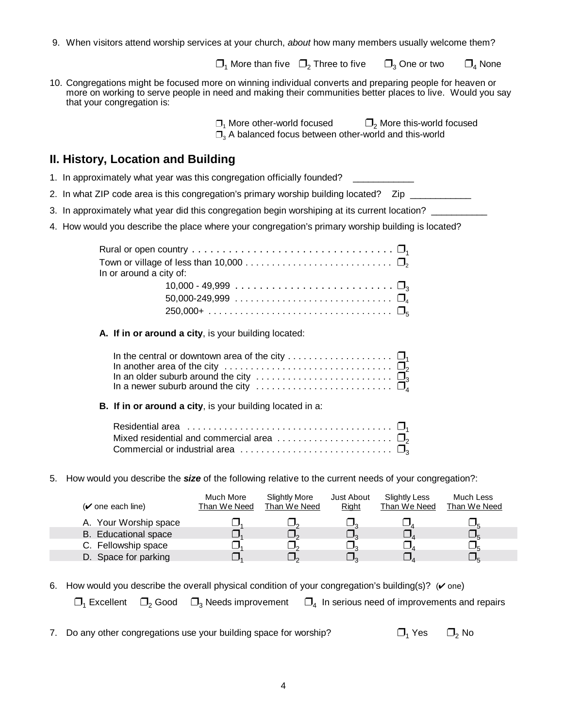9. When visitors attend worship services at your church, *about* how many members usually welcome them?

 $\Box_1$  More than five  $\Box_2$  Three to five  $\Box_3$  One or two  $\Box_4$  None

10. Congregations might be focused more on winning individual converts and preparing people for heaven or more on working to serve people in need and making their communities better places to live. Would you say that your congregation is:

> $\Box_1$  More other-world focused  $\Box_2$  More this-world focused  $\Box$ <sub>3</sub> A balanced focus between other-world and this-world

#### **II. History, Location and Building**

- 1. In approximately what year was this congregation officially founded?
- 2. In what ZIP code area is this congregation's primary worship building located? Zip
- 3. In approximately what year did this congregation begin worshiping at its current location?
- 4. How would you describe the place where your congregation's primary worship building is located?

| Rural or open country $\dots\dots\dots\dots\dots\dots\dots\dots\dots\dots\dots\Box_{i}$                                   |  |
|---------------------------------------------------------------------------------------------------------------------------|--|
| Town or village of less than 10,000 $\dots\dots\dots\dots\dots\dots\dots\dots\dots\Box_{\!\scriptscriptstyle\mathcal{D}}$ |  |
| In or around a city of:                                                                                                   |  |
|                                                                                                                           |  |
|                                                                                                                           |  |
|                                                                                                                           |  |

**A. If in or around a city**, is your building located:

| In the central or downtown area of the city $\square_1$                                                |  |
|--------------------------------------------------------------------------------------------------------|--|
| In another area of the city $\ldots \ldots \ldots \ldots \ldots \ldots \ldots \ldots \ldots \square_2$ |  |
|                                                                                                        |  |
|                                                                                                        |  |

**B. If in or around a city**, is your building located in a:

| Residential area $\ldots \ldots \ldots \ldots \ldots \ldots \ldots \ldots \ldots \ldots \ldots \square$ |  |
|---------------------------------------------------------------------------------------------------------|--|
| Mixed residential and commercial area $\ldots \ldots \ldots \ldots \ldots \ldots \square$               |  |
| Commercial or industrial area $\ldots \ldots \ldots \ldots \ldots \ldots \ldots \ldots \square$         |  |

5. How would you describe the *size* of the following relative to the current needs of your congregation?:

| $(\vee)$ one each line)     | Much More<br>Than We Need | Slightly More<br>Than We Need | Just About<br>Right | Slightly Less<br>Than We Need | Much Less<br>Than We Need |
|-----------------------------|---------------------------|-------------------------------|---------------------|-------------------------------|---------------------------|
| A. Your Worship space       |                           |                               |                     |                               |                           |
| <b>B.</b> Educational space |                           |                               |                     |                               |                           |
| C. Fellowship space         |                           |                               |                     |                               |                           |
| D. Space for parking        |                           |                               |                     |                               |                           |

6. How would you describe the overall physical condition of your congregation's building(s)? ( $\vee$  one)

 $\Box_1$  Excellent  $\Box_2$  Good  $\Box_3$  Needs improvement  $\Box_4$  In serious need of improvements and repairs

7. Do any other congregations use your building space for worship?  $\Box_1$  Yes  $\Box_2$  No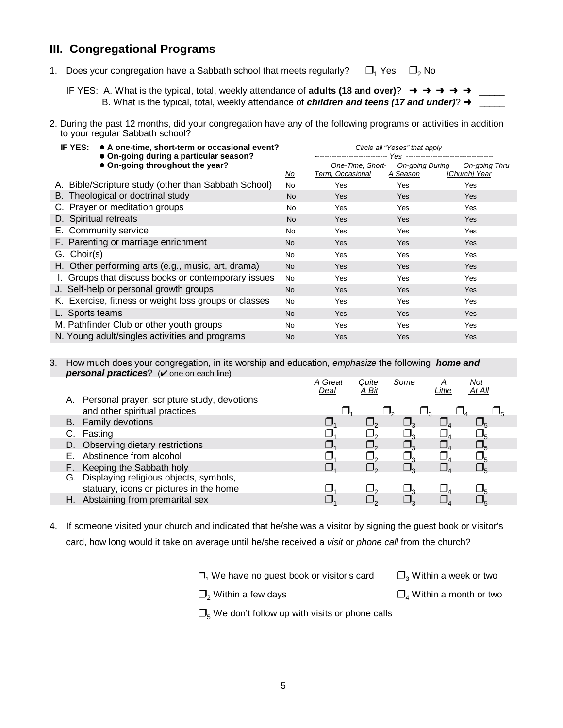#### **III. Congregational Programs**

1. Does your congregation have a Sabbath school that meets regularly?  $\Box_1$  Yes  $\Box_2$  No

IF YES: A. What is the typical, total, weekly attendance of **adults (18 and over)**? → → → → B. What is the typical, total, weekly attendance of *children and teens (17 and under)*?  $\rightarrow$ 

2. During the past 12 months, did your congregation have any of the following programs or activities in addition to your regular Sabbath school?

| IF YES:     | • A one-time, short-term or occasional event?<br>• On-going during a particular season? |           | Circle all "Yeses" that apply        |                             |                                |
|-------------|-----------------------------------------------------------------------------------------|-----------|--------------------------------------|-----------------------------|--------------------------------|
|             | • On-going throughout the year?                                                         | <u>No</u> | One-Time, Short-<br>Term, Occasional | On-going During<br>A Season | On-going Thru<br>[Church] Year |
|             | A. Bible/Scripture study (other than Sabbath School)                                    | <b>No</b> | Yes                                  | Yes                         | Yes                            |
|             | B. Theological or doctrinal study                                                       | <b>No</b> | Yes                                  | Yes                         | <b>Yes</b>                     |
|             | C. Prayer or meditation groups                                                          | <b>No</b> | Yes                                  | Yes                         | Yes                            |
|             | D. Spiritual retreats                                                                   | <b>No</b> | Yes                                  | <b>Yes</b>                  | <b>Yes</b>                     |
|             | E. Community service                                                                    | No        | Yes                                  | Yes                         | Yes                            |
|             | F. Parenting or marriage enrichment                                                     | No.       | Yes                                  | Yes                         | <b>Yes</b>                     |
| G. Choir(s) |                                                                                         | No        | Yes                                  | Yes                         | Yes                            |
|             | H. Other performing arts (e.g., music, art, drama)                                      | No.       | Yes                                  | Yes                         | <b>Yes</b>                     |
|             | I. Groups that discuss books or contemporary issues                                     | <b>No</b> | Yes                                  | Yes                         | Yes                            |
|             | J. Self-help or personal growth groups                                                  | <b>No</b> | Yes                                  | <b>Yes</b>                  | Yes                            |
|             | K. Exercise, fitness or weight loss groups or classes                                   | <b>No</b> | Yes                                  | Yes                         | Yes                            |
|             | L. Sports teams                                                                         | No.       | Yes                                  | <b>Yes</b>                  | <b>Yes</b>                     |
|             | M. Pathfinder Club or other youth groups                                                | No        | Yes                                  | Yes                         | Yes                            |
|             | N. Young adult/singles activities and programs                                          | No        | <b>Yes</b>                           | Yes                         | <b>Yes</b>                     |

 3. How much does your congregation, in its worship and education, *emphasize* the following *home and personal practices*? ( $\vee$  one on each line)

|  |                                                                                 | A Great<br>Deal | Quite<br>A Bit | Some | Little | Not<br>At All   |  |
|--|---------------------------------------------------------------------------------|-----------------|----------------|------|--------|-----------------|--|
|  | A. Personal prayer, scripture study, devotions<br>and other spiritual practices |                 |                |      |        |                 |  |
|  | B. Family devotions                                                             |                 |                |      |        |                 |  |
|  | C. Fasting                                                                      |                 |                |      |        |                 |  |
|  | D. Observing dietary restrictions                                               |                 |                |      |        |                 |  |
|  | E. Abstinence from alcohol                                                      |                 |                |      |        |                 |  |
|  | F. Keeping the Sabbath holy                                                     |                 |                |      |        | $\Box_{\kappa}$ |  |
|  | G. Displaying religious objects, symbols,                                       |                 |                |      |        |                 |  |
|  | statuary, icons or pictures in the home                                         |                 |                |      |        |                 |  |
|  | H. Abstaining from premarital sex                                               |                 |                |      |        |                 |  |
|  |                                                                                 |                 |                |      |        |                 |  |

4. If someone visited your church and indicated that he/she was a visitor by signing the guest book or visitor's card, how long would it take on average until he/she received a *visit* or *phone call* from the church?

 $\Box_1$  We have no guest book or visitor's card  $\Box_3$  Within a week or two

 $\Box_2$  Within a few days  $\Box_4$  Within a month or two

 $\Box$ <sub>5</sub> We don't follow up with visits or phone calls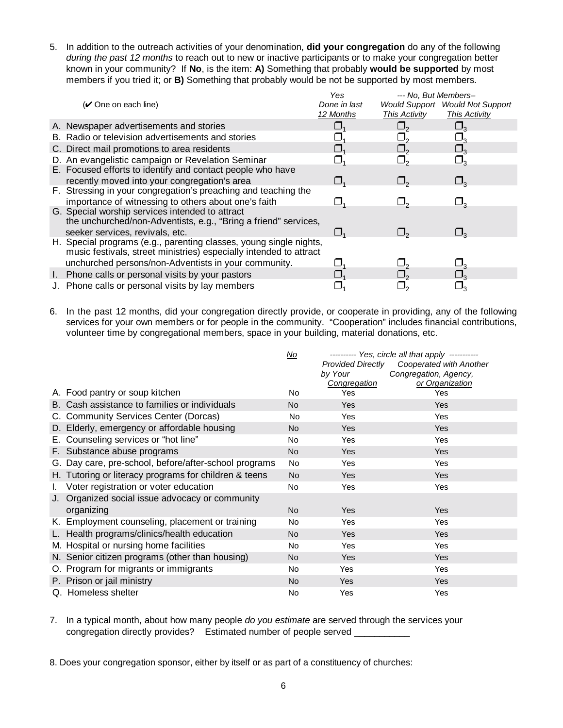5. In addition to the outreach activities of your denomination, **did your congregation** do any of the following *during the past 12 months* to reach out to new or inactive participants or to make your congregation better known in your community?If **No**, is the item: **A)** Something that probably **would be supported** by most members if you tried it; or **B)** Something that probably would be not be supported by most members.

| $(V$ One on each line)                                                                                                                                                                           | Yes<br>Done in last<br>12 Months | --- No. But Members-<br>This Activity | <b>Would Support</b> Would Not Support<br><b>This Activity</b> |
|--------------------------------------------------------------------------------------------------------------------------------------------------------------------------------------------------|----------------------------------|---------------------------------------|----------------------------------------------------------------|
| A. Newspaper advertisements and stories                                                                                                                                                          |                                  |                                       |                                                                |
| B. Radio or television advertisements and stories                                                                                                                                                |                                  |                                       |                                                                |
| C. Direct mail promotions to area residents                                                                                                                                                      |                                  |                                       |                                                                |
| D. An evangelistic campaign or Revelation Seminar                                                                                                                                                |                                  |                                       |                                                                |
| E. Focused efforts to identify and contact people who have<br>recently moved into your congregation's area                                                                                       | U,                               | $\Box$                                | $\Box_2$                                                       |
| F. Stressing in your congregation's preaching and teaching the<br>importance of witnessing to others about one's faith                                                                           |                                  |                                       |                                                                |
| G. Special worship services intended to attract<br>the unchurched/non-Adventists, e.g., "Bring a friend" services,<br>seeker services, revivals, etc.                                            | $\Box$ <sub>1</sub>              |                                       |                                                                |
| H. Special programs (e.g., parenting classes, young single nights,<br>music festivals, street ministries) especially intended to attract<br>unchurched persons/non-Adventists in your community. |                                  |                                       |                                                                |
| I. Phone calls or personal visits by your pastors                                                                                                                                                |                                  |                                       |                                                                |
| J. Phone calls or personal visits by lay members                                                                                                                                                 |                                  |                                       |                                                                |

6. In the past 12 months, did your congregation directly provide, or cooperate in providing, any of the following services for your own members or for people in the community. "Cooperation" includes financial contributions, volunteer time by congregational members, space in your building, material donations, etc.

|    |                                                       | No        | --------- Yes, circle all that apply ----------- |                         |  |
|----|-------------------------------------------------------|-----------|--------------------------------------------------|-------------------------|--|
|    |                                                       |           | <b>Provided Directly</b>                         | Cooperated with Another |  |
|    |                                                       |           | by Your                                          | Congregation, Agency,   |  |
|    |                                                       |           | Congregation<br>Yes                              | or Organization         |  |
|    | A. Food pantry or soup kitchen                        | No.       |                                                  | Yes                     |  |
|    | B. Cash assistance to families or individuals         | <b>No</b> | Yes                                              | <b>Yes</b>              |  |
|    | C. Community Services Center (Dorcas)                 | No.       | Yes                                              | Yes                     |  |
|    | D. Elderly, emergency or affordable housing           | No        | Yes                                              | Yes                     |  |
|    | E. Counseling services or "hot line"                  | No        | Yes                                              | Yes                     |  |
|    | F. Substance abuse programs                           | <b>No</b> | Yes                                              | Yes                     |  |
|    | G. Day care, pre-school, before/after-school programs | No.       | Yes                                              | Yes                     |  |
|    | H. Tutoring or literacy programs for children & teens | <b>No</b> | Yes                                              | Yes                     |  |
| L. | Voter registration or voter education                 | No.       | Yes                                              | Yes                     |  |
|    | J. Organized social issue advocacy or community       |           |                                                  |                         |  |
|    | organizing                                            | No.       | Yes                                              | Yes                     |  |
|    | K. Employment counseling, placement or training       | No        | Yes                                              | Yes                     |  |
|    | L. Health programs/clinics/health education           | <b>No</b> | Yes                                              | <b>Yes</b>              |  |
|    | M. Hospital or nursing home facilities                | <b>No</b> | Yes                                              | Yes                     |  |
|    | N. Senior citizen programs (other than housing)       | <b>No</b> | Yes                                              | <b>Yes</b>              |  |
|    | O. Program for migrants or immigrants                 | <b>No</b> | Yes                                              | Yes                     |  |
|    | P. Prison or jail ministry                            | <b>No</b> | Yes                                              | Yes                     |  |
|    | Q. Homeless shelter                                   | No        | Yes                                              | Yes                     |  |

7. In a typical month, about how many people *do you estimate* are served through the services your congregation directly provides? Estimated number of people served \_\_\_\_\_\_\_\_\_\_\_\_\_\_

8. Does your congregation sponsor, either by itself or as part of a constituency of churches: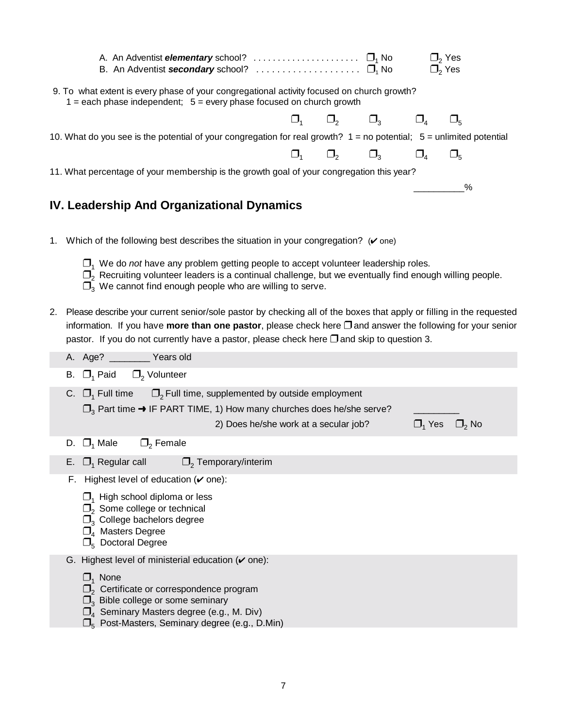|    |    | B. An Adventist secondary school? $\ldots \ldots \ldots \ldots \ldots \ldots$                                                                                                                                                                                                                                                                 |          | $\Box$ <sub>2</sub> Yes<br>$\Box$ <sub>2</sub> Yes |               |
|----|----|-----------------------------------------------------------------------------------------------------------------------------------------------------------------------------------------------------------------------------------------------------------------------------------------------------------------------------------------------|----------|----------------------------------------------------|---------------|
|    |    | 9. To what extent is every phase of your congregational activity focused on church growth?<br>$1 =$ each phase independent; $5 =$ every phase focused on church growth                                                                                                                                                                        |          |                                                    |               |
|    |    | $\Box_1$ $\Box_2$ $\Box_3$ $\Box_4$                                                                                                                                                                                                                                                                                                           |          |                                                    | $\square_{5}$ |
|    |    | 10. What do you see is the potential of your congregation for real growth? 1 = no potential; 5 = unlimited potential                                                                                                                                                                                                                          |          |                                                    |               |
|    |    | $\Box$<br>$\Box_{\scriptscriptstyle 1}$                                                                                                                                                                                                                                                                                                       | $\Box_3$ | $\Box_{4}$                                         | $\Box_5$      |
|    |    | 11. What percentage of your membership is the growth goal of your congregation this year?                                                                                                                                                                                                                                                     |          |                                                    |               |
|    |    |                                                                                                                                                                                                                                                                                                                                               |          |                                                    | %             |
|    |    | IV. Leadership And Organizational Dynamics                                                                                                                                                                                                                                                                                                    |          |                                                    |               |
|    |    |                                                                                                                                                                                                                                                                                                                                               |          |                                                    |               |
|    |    | 1. Which of the following best describes the situation in your congregation? ( $\check{v}$ one)                                                                                                                                                                                                                                               |          |                                                    |               |
|    |    | $\Box$ <sub>1</sub> We do <i>not</i> have any problem getting people to accept volunteer leadership roles.<br>$\Box$ <sub>2</sub> Recruiting volunteer leaders is a continual challenge, but we eventually find enough willing people.<br>$\square$ <sub>3</sub> We cannot find enough people who are willing to serve.                       |          |                                                    |               |
| 2. |    | Please describe your current senior/sole pastor by checking all of the boxes that apply or filling in the requested<br>information. If you have more than one pastor, please check here $\Box$ and answer the following for your senior<br>pastor. If you do not currently have a pastor, please check here $\square$ and skip to question 3. |          |                                                    |               |
|    |    | A. Age? _________ Years old                                                                                                                                                                                                                                                                                                                   |          |                                                    |               |
|    |    | B. $\Box_1$ Paid $\Box_2$ Volunteer                                                                                                                                                                                                                                                                                                           |          |                                                    |               |
|    |    | $\Box$ <sub>2</sub> Full time, supplemented by outside employment<br>C. $\Box$ <sub>1</sub> Full time                                                                                                                                                                                                                                         |          |                                                    |               |
|    |    | $\square$ <sub>3</sub> Part time $\rightarrow$ IF PART TIME, 1) How many churches does he/she serve?                                                                                                                                                                                                                                          |          |                                                    |               |
|    |    | 2) Does he/she work at a secular job?                                                                                                                                                                                                                                                                                                         |          | $\Box_1$ Yes $\Box_2$ No                           |               |
|    |    | $\Box$ <sub>2</sub> Female<br>D. $\Box_1$ Male                                                                                                                                                                                                                                                                                                |          |                                                    |               |
|    | Е. | $\Box$ <sub>1</sub> Regular call<br>$\Box$ <sub>2</sub> Temporary/interim                                                                                                                                                                                                                                                                     |          |                                                    |               |
|    |    | F. Highest level of education $(\vee$ one):                                                                                                                                                                                                                                                                                                   |          |                                                    |               |
|    |    | $\Box$ <sub>1</sub> High school diploma or less<br>$\square$ <sub>2</sub> Some college or technical<br>$\square$ <sub>3</sub> College bachelors degree<br>$\square$ <sub>4</sub> Masters Degree<br>$\Box_{5}$ Doctoral Degree                                                                                                                 |          |                                                    |               |
|    |    | G. Highest level of ministerial education $(\vee$ one):                                                                                                                                                                                                                                                                                       |          |                                                    |               |
|    |    | $\Box_1$ None<br>$\square$ <sub>2</sub> Certificate or correspondence program<br>$\Box$ <sub>3</sub> Bible college or some seminary<br>$\Box_4$ Seminary Masters degree (e.g., M. Div)<br>$\Box_5$ Post-Masters, Seminary degree (e.g., D.Min)                                                                                                |          |                                                    |               |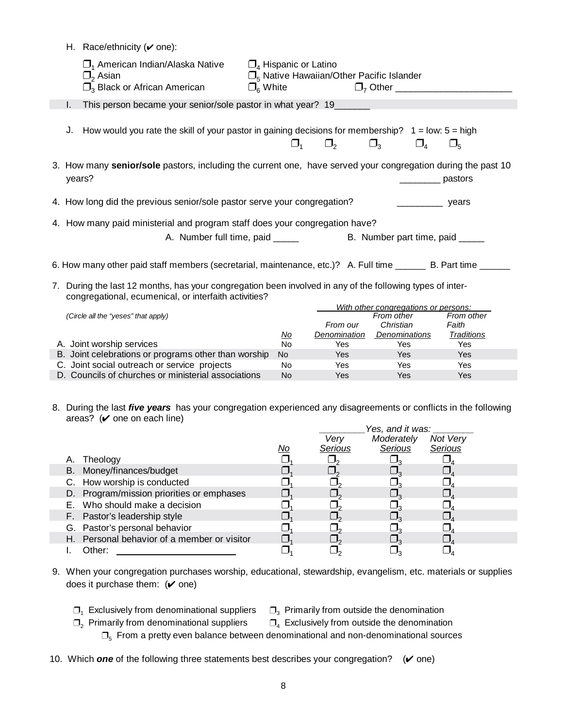|    | H. Race/ethnicity ( $\vee$ one):                                                                                                                                |                                                      |                                                            |                                                   |                                   |
|----|-----------------------------------------------------------------------------------------------------------------------------------------------------------------|------------------------------------------------------|------------------------------------------------------------|---------------------------------------------------|-----------------------------------|
|    | $\Box$ <sub>1</sub> American Indian/Alaska Native<br>$\square$ , Asian<br>$\square$ <sub>3</sub> Black or African American                                      | $\Box_4$ Hispanic or Latino<br>$\Box_{\kappa}$ White | $\Box$ <sub>5</sub> Native Hawaiian/Other Pacific Islander | $\Box$ <sub>7</sub> Other _______________________ |                                   |
| I. | This person became your senior/sole pastor in what year? 19                                                                                                     |                                                      |                                                            |                                                   |                                   |
| J. | How would you rate the skill of your pastor in gaining decisions for membership? $1 =$ low: $5 =$ high                                                          | $\Box$                                               | $\Box$ <sub>2</sub>                                        | $\Box_3$<br>$\square_{4}$                         | $\square_{5}$                     |
|    | 3. How many senior/sole pastors, including the current one, have served your congregation during the past 10<br>years?                                          |                                                      |                                                            |                                                   | pastors                           |
|    | 4. How long did the previous senior/sole pastor serve your congregation?                                                                                        |                                                      |                                                            | <b>Example 20</b> years                           |                                   |
|    | 4. How many paid ministerial and program staff does your congregation have?                                                                                     |                                                      |                                                            |                                                   |                                   |
|    | A. Number full time, paid _____                                                                                                                                 |                                                      |                                                            | B. Number part time, paid _____                   |                                   |
|    | 6. How many other paid staff members (secretarial, maintenance, etc.)? A. Full time ________ B. Part time ______                                                |                                                      |                                                            |                                                   |                                   |
| 7. | During the last 12 months, has your congregation been involved in any of the following types of inter-<br>congregational, ecumenical, or interfaith activities? |                                                      |                                                            |                                                   |                                   |
|    |                                                                                                                                                                 |                                                      |                                                            | With other congregations or persons:              |                                   |
|    | (Circle all the "yeses" that apply)                                                                                                                             | <u>No</u>                                            | From our<br>Denomination                                   | From other<br>Christian<br><b>Denominations</b>   | From other<br>Faith<br>Traditions |
|    | A. Joint worship services                                                                                                                                       | <b>No</b>                                            | Yes                                                        | Yes                                               | Yes                               |
|    | B. Joint celebrations or programs other than worship                                                                                                            | No.                                                  | Yes                                                        | Yes                                               | Yes                               |
|    | C. Joint social outreach or service projects                                                                                                                    | No                                                   | Yes                                                        | Yes                                               | Yes                               |
|    | D. Councils of churches or ministerial associations                                                                                                             | No.                                                  | Yes                                                        | Yes                                               | Yes                               |

 8. During the last *five years* has your congregation experienced any disagreements or conflicts in the following areas?  $(\vee)$  one on each line)

|                                             |    |         | Yes, and it was: |          |
|---------------------------------------------|----|---------|------------------|----------|
|                                             |    | Very    | Moderately       | Not Very |
|                                             | No | Serious | Serious          | Serious  |
| A. Theology                                 |    |         |                  |          |
| B. Money/finances/budget                    |    |         |                  |          |
| C. How worship is conducted                 |    |         |                  |          |
| D. Program/mission priorities or emphases   |    |         |                  |          |
| E. Who should make a decision               |    |         |                  |          |
| F. Pastor's leadership style                |    |         |                  |          |
| G. Pastor's personal behavior               |    |         |                  |          |
| H. Personal behavior of a member or visitor |    |         |                  |          |
| Other:                                      |    |         |                  |          |

- 9. When your congregation purchases worship, educational, stewardship, evangelism, etc. materials or supplies does it purchase them:  $(\vee)$  one)
	- $\Box_1$  Exclusively from denominational suppliers  $\Box_3$  Primarily from outside the denomination

- $\Box_2$  Primarily from denominational suppliers  $\Box_4$  Exclusively from outside the denomination  $\Box$ <sub>5</sub> From a pretty even balance between denominational and non-denominational sources
- 10. Which **one** of the following three statements best describes your congregation?  $(\vee$  one)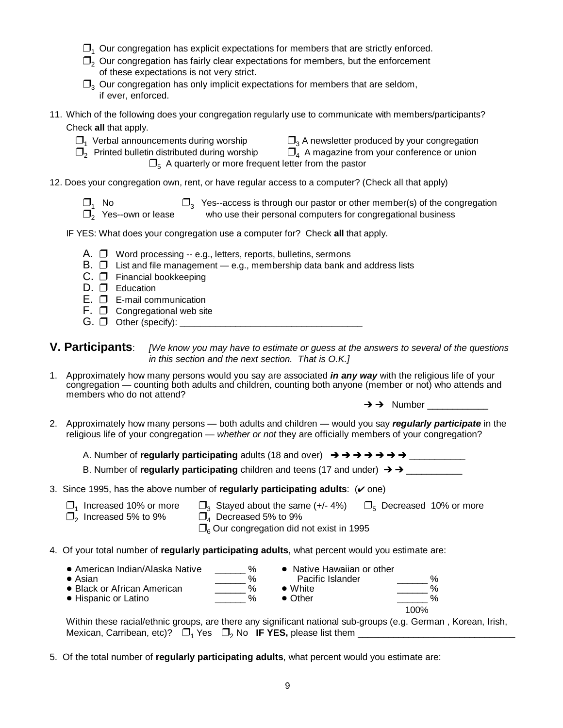- $\Box$ <sub>1</sub> Our congregation has explicit expectations for members that are strictly enforced.
- $\Box$ <sub>2</sub> Our congregation has fairly clear expectations for members, but the enforcement of these expectations is not very strict.
- $\Box$  Our congregation has only implicit expectations for members that are seldom, if ever, enforced.
- 11. Which of the following does your congregation regularly use to communicate with members/participants? Check **all** that apply.
	- $\Box_1$  Verbal announcements during worship  $\Box_3$  A newsletter produced by your congregation

 $\Box_2$  Printed bulletin distributed during worship  $\Box_4$  A magazine from your conference or union

in distributed during worship  $\Box_4$  A magazine from your conference or union  $\Box_5$  A quarterly or more frequent letter from the pastor

- 12. Does your congregation own, rent, or have regular access to a computer? (Check all that apply)
	- $\Box_1$  No  $\Box_3$  Yes--access is through our pastor or other member(s) of the congregation  $\Box_2$  Yes--own or lease who use their personal computers for congregational business
	- who use their personal computers for congregational business

#### IF YES: What does your congregation use a computer for? Check **all** that apply.

- A.  $\Box$  Word processing -- e.g., letters, reports, bulletins, sermons
- B.  $\Box$  List and file management e.g., membership data bank and address lists
- C. **D** Financial bookkeeping
- $D. \Box$  Education
- $E.$   $\square$   $E$ -mail communication
- $F. \Box$  Congregational web site
- $G. \Box$  Other (specify):
- **V. Participants**: *[We know you may have to estimate or guess at the answers to several of the questions in this section and the next section. That is O.K.]*
- 1. Approximately how many persons would you say are associated *in any way* with the religious life of your congregation — counting both adults and children, counting both anyone (member or not) who attends and members who do not attend?

 $\rightarrow \rightarrow$  Number

- 2. Approximately how many persons both adults and children would you say *regularly participate* in the religious life of your congregation — *whether or not* they are officially members of your congregation?
	- A. Number of **regularly participating** adults (18 and over) \_\_\_\_\_\_\_\_\_\_\_

B. Number of **regularly participating** children and teens (17 and under) \_\_\_\_\_\_\_\_\_\_\_

- 3. Since 1995, has the above number of **regularly participating adults**:  $(v \text{ one})$ 
	- $\Box_1$  Increased 10% or more  $\Box_3$  Stayed about the same (+/- 4%)  $\Box_5$  Decreased 10% or more  $\Box_2$  Increased 5% to 9%  $\overline{\Box}_4$  Decreased 5% to 9%

 $\Box$ <sub>6</sub> Our congregation did not exist in 1995

4. Of your total number of **regularly participating adults**, what percent would you estimate are:

| • American Indian/Alaska Native | %    | • Native Hawaiian or other | $\%$ |
|---------------------------------|------|----------------------------|------|
| $\bullet$ Asian                 | $\%$ | Pacific Islander           |      |
| • Black or African American     | %    | $\bullet$ White            | %    |
| • Hispanic or Latino            | %    | $\bullet$ Other            | %    |
|                                 |      |                            | 100% |

Within these racial/ethnic groups, are there any significant national sub-groups (e.g. German , Korean, Irish, Mexican, Carribean, etc)? 1 2 Yes No **IF YES,** please list them \_\_\_\_\_\_\_\_\_\_\_\_\_\_\_\_\_\_\_\_\_\_\_\_\_\_\_\_\_\_\_

5. Of the total number of **regularly participating adults**, what percent would you estimate are: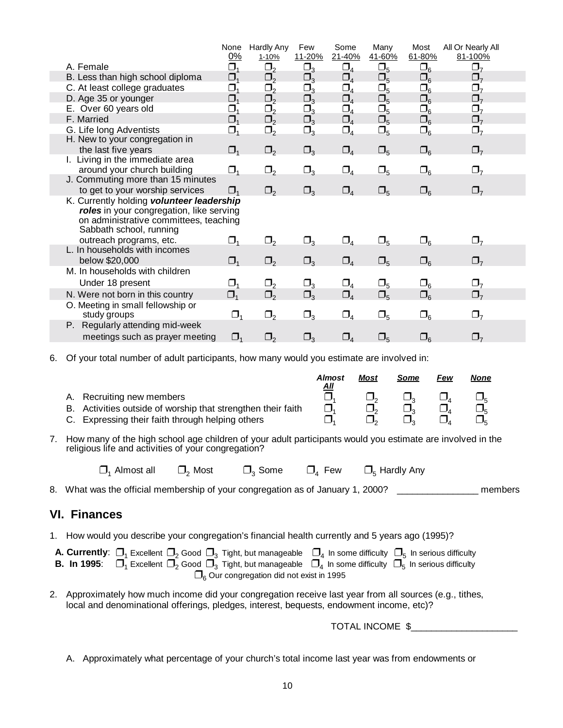|                                                                                                                                                            | None<br>0%                     | <b>Hardly Any</b><br>1-10% | Few<br>11-20% | Some<br>21-40% | Many<br>41-60% | Most<br>61-80% | All Or Nearly All<br>81-100% |
|------------------------------------------------------------------------------------------------------------------------------------------------------------|--------------------------------|----------------------------|---------------|----------------|----------------|----------------|------------------------------|
| A. Female                                                                                                                                                  | $\Box_{1}$                     | $\Box_2$                   | $\Box_3$      | $\Box_4$       | $\square_5$    | $\square_6$    | $\Box$                       |
| B. Less than high school diploma                                                                                                                           | $\Box_{\scriptscriptstyle{1}}$ | $\Box$                     | $\Box_3$      | $\Box_4$       | $\Box_5$       | $\square_6$    | $\Box_7$                     |
| C. At least college graduates                                                                                                                              | $\Box_{\scriptscriptstyle{1}}$ | $\Box_2$                   | $\Box_3$      | $\Box_4$       | $\square_5$    | $\square_6$    | $\underline{\Box}_7$         |
| D. Age 35 or younger                                                                                                                                       | Ω,                             | $\Box_2$                   | $\Box_3$      | $\Box_4$       | $\square_5$    | $\square_6$    | $\Box_7$                     |
| E. Over 60 years old                                                                                                                                       | Ω,                             | $\Box_2$                   | $\Box_3$      | $\Box_4$       | $\Box_5$       | $\square_6$    | $\Box$                       |
| F. Married                                                                                                                                                 | $\Box_{\scriptscriptstyle{1}}$ | $\Box_2$                   | $\Box_3$      | $\Box_4$       | $\square_{5}$  | $\square_6$    | $\Box_7$                     |
| G. Life long Adventists<br>H. New to your congregation in                                                                                                  | $\Box_1$                       | $\Box_2$                   | $\Box_3$      | $\Box_4$       | $\Box_5$       | $\square_6$    | $\Box_7$                     |
| the last five years                                                                                                                                        | $\Box_1$                       | $\Box_2$                   | $\Box_3$      | $\Box_4$       | $\Box_5$       | $\square_6$    | $\Box$                       |
| I. Living in the immediate area                                                                                                                            |                                |                            |               |                |                |                |                              |
| around your church building<br>J. Commuting more than 15 minutes                                                                                           | $\Box_1$                       | $\Box_2$                   | $\Box_3$      | $\Box_4$       | $\Box_5$       | $\square_6$    | $\Box$                       |
| to get to your worship services                                                                                                                            | $\Box$                         | $\Box_2$                   | $\Box_3$      | $\Box_4$       | $\square_5$    | $\square_6$    | $\Box$                       |
| K. Currently holding volunteer leadership<br>roles in your congregation, like serving<br>on administrative committees, teaching<br>Sabbath school, running |                                |                            |               |                |                |                |                              |
| outreach programs, etc.                                                                                                                                    | $\Box_{1}$                     | $\Box_2$                   | $\Box_3$      | $\Box_4$       | $\Box_5$       | $\square_6$    | $\Box_7$                     |
| L. In households with incomes                                                                                                                              |                                |                            |               |                |                |                |                              |
| below \$20,000                                                                                                                                             | $\Box_1$                       | $\Box_2$                   | $\Box_3$      | $\Box_4$       | $\Box_5$       | $\square_6$    | $\Box$                       |
| M. In households with children                                                                                                                             |                                |                            |               |                |                |                |                              |
| Under 18 present                                                                                                                                           | $\Box_{\scriptscriptstyle{1}}$ | $\Box_{2}$                 | $\Box_3$      | $\Box_4$       | $\Box_5$       | $\square_6$    | $\Box_7$                     |
| N. Were not born in this country                                                                                                                           | $\Box_1$                       | $\Box_2$                   | $\Box_3$      | $\Box_4$       | $\square_5$    | $\square_6$    | $\square_{7}$                |
| O. Meeting in small fellowship or<br>study groups                                                                                                          | $\Box_1$                       | $\Box_2$                   | $\Box_3$      | $\Box_4$       | $\Box_5$       | $\square_6$    | $\Box$                       |
| P. Regularly attending mid-week                                                                                                                            |                                |                            |               |                |                |                |                              |
| meetings such as prayer meeting                                                                                                                            | $\Box$ <sub>1</sub>            | $\Box$                     | $\Box_3$      | $\Box_{4}$     | $\Box_5$       | $\square_6$    | $\Box$                       |

6. Of your total number of adult participants, how many would you estimate are involved in:

|                                                              | <b>Almost</b><br>All | <b>Most</b> | Some | Few | None |
|--------------------------------------------------------------|----------------------|-------------|------|-----|------|
| A. Recruiting new members                                    |                      |             |      |     |      |
| B. Activities outside of worship that strengthen their faith |                      |             |      |     |      |
| C. Expressing their faith through helping others             |                      |             |      |     |      |

7. How many of the high school age children of your adult participants would you estimate are involved in the religious life and activities of your congregation?

| $\Box$ Almost all | $\Box$ <sub>2</sub> Most | $\Box$ <sub>3</sub> Some | $\Box_4$ Few | $\Box_5$ Hardly Any |
|-------------------|--------------------------|--------------------------|--------------|---------------------|
|-------------------|--------------------------|--------------------------|--------------|---------------------|

8. What was the official membership of your congregation as of January 1, 2000? \_\_\_\_\_\_\_\_\_\_\_\_\_\_\_\_\_\_\_\_ members

#### **VI. Finances**

1. How would you describe your congregation's financial health currently and 5 years ago (1995)?

| <b>A. Currently:</b> $\Box_1$ Excellent $\Box_2$ Good $\Box_3$ Tight, but manageable $\Box_4$ In some difficulty $\Box_5$ In serious difficulty |  |
|-------------------------------------------------------------------------------------------------------------------------------------------------|--|
| <b>B. In 1995</b> : $\Box_1$ Excellent $\Box_2$ Good $\Box_3$ Tight, but manageable $\Box_4$ In some difficulty $\Box_5$ In serious difficulty  |  |
| $\Box$ <sub>6</sub> Our congregation did not exist in 1995                                                                                      |  |

2. Approximately how much income did your congregation receive last year from all sources (e.g., tithes, local and denominational offerings, pledges, interest, bequests, endowment income, etc)?

TOTAL INCOME  $$$ 

A. Approximately what percentage of your church's total income last year was from endowments or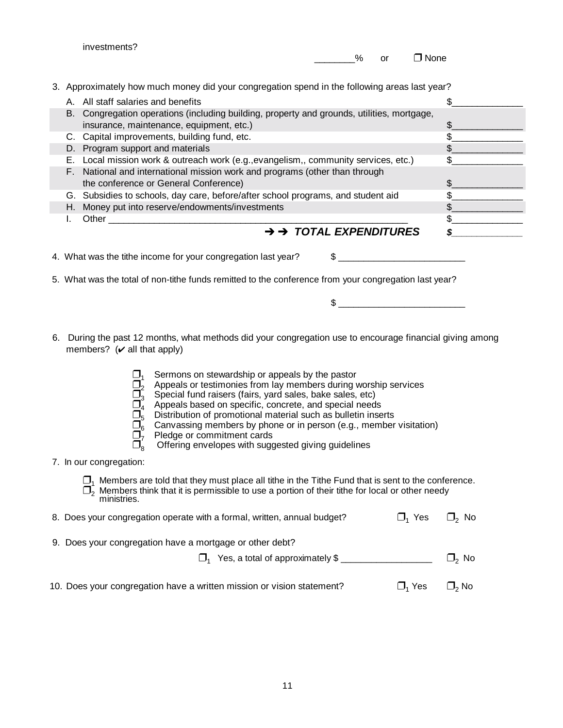|    | investments?<br>%<br>$\Box$ None<br><b>or</b>                                                                                                                                                                                                                                                                                                                                                                                                                                                                                                                                                                                                                                                                                                                              |                                                                                           |
|----|----------------------------------------------------------------------------------------------------------------------------------------------------------------------------------------------------------------------------------------------------------------------------------------------------------------------------------------------------------------------------------------------------------------------------------------------------------------------------------------------------------------------------------------------------------------------------------------------------------------------------------------------------------------------------------------------------------------------------------------------------------------------------|-------------------------------------------------------------------------------------------|
| L. | 3. Approximately how much money did your congregation spend in the following areas last year?<br>A. All staff salaries and benefits<br>B. Congregation operations (including building, property and grounds, utilities, mortgage,<br>insurance, maintenance, equipment, etc.)<br>C. Capital improvements, building fund, etc.<br>D. Program support and materials<br>E. Local mission work & outreach work (e.g., evangelism,, community services, etc.)<br>F. National and international mission work and programs (other than through<br>the conference or General Conference)<br>G. Subsidies to schools, day care, before/after school programs, and student aid<br>H. Money put into reserve/endowments/investments<br>$\rightarrow$ $\rightarrow$ TOTAL EXPENDITURES | \$<br>$\frac{1}{2}$<br>\$<br>\$<br>\$<br>$\frac{1}{2}$<br>\$<br>$\frac{1}{2}$<br>\$<br>\$ |
|    | 4. What was the tithe income for your congregation last year?<br>$\mathsf{S}$<br>5. What was the total of non-tithe funds remitted to the conference from your congregation last year?<br>$\frac{1}{2}$                                                                                                                                                                                                                                                                                                                                                                                                                                                                                                                                                                    |                                                                                           |
|    | 6. During the past 12 months, what methods did your congregation use to encourage financial giving among<br>members? $({\mathbf{v}})$ all that apply)<br>Sermons on stewardship or appeals by the pastor<br>Appeals or testimonies from lay members during worship services<br>Special fund raisers (fairs, yard sales, bake sales, etc)<br>Appeals based on specific, concrete, and special needs<br>Distribution of promotional material such as bulletin inserts<br>Canvassing members by phone or in person (e.g., member visitation)<br>Pledge or commitment cards<br>Offering envelopes with suggested giving guidelines                                                                                                                                             |                                                                                           |
|    | 7. In our congregation:<br>$\square$ <sub>1</sub> Members are told that they must place all tithe in the Tithe Fund that is sent to the conference.<br>$\Box$ <sub>2</sub> Members think that it is permissible to use a portion of their tithe for local or other needy<br>ministries.                                                                                                                                                                                                                                                                                                                                                                                                                                                                                    |                                                                                           |

| 8. Does your congregation operate with a formal, written, annual budget? | $\Box$ Yes | $\Box$ <sub>2</sub> No |
|--------------------------------------------------------------------------|------------|------------------------|
| 9. Does your congregation have a mortgage or other debt?                 |            |                        |
| $\square$ , Yes, a total of approximately \$                             |            | $\Box$ No              |
| 10. Does your congregation have a written mission or vision statement?   | $\Box$ Yes | $\square$ , No         |